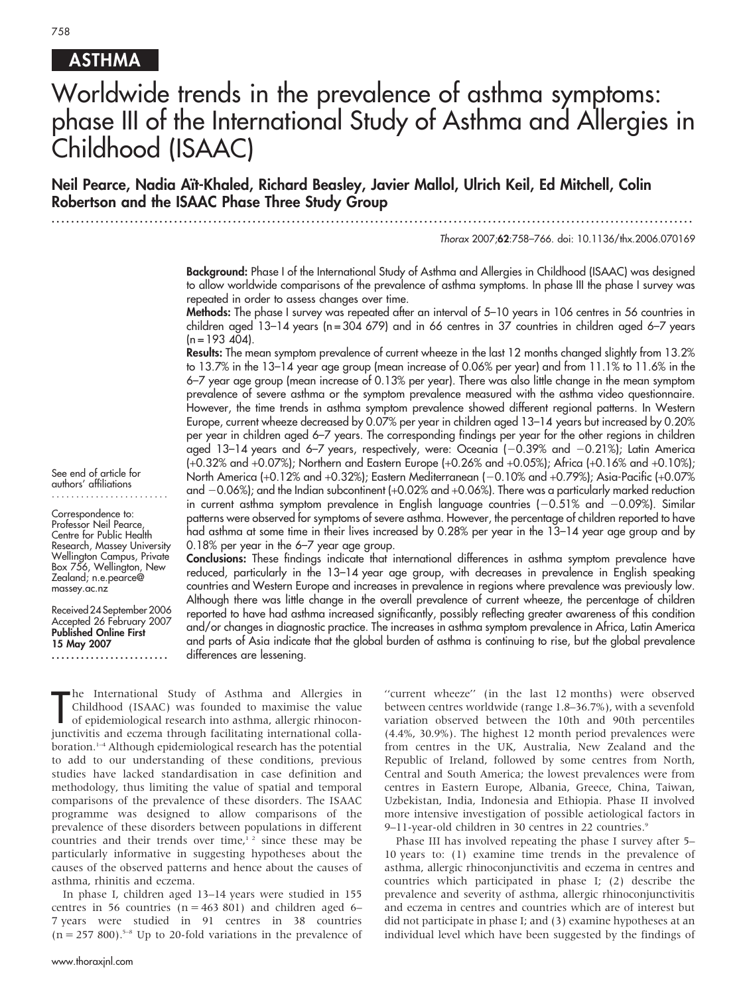# **ASTHMA**

# Worldwide trends in the prevalence of asthma symptoms: phase III of the International Study of Asthma and Allergies in Childhood (ISAAC)

Neil Pearce, Nadia Aït-Khaled, Richard Beasley, Javier Mallol, Ulrich Keil, Ed Mitchell, Colin Robertson and the ISAAC Phase Three Study Group

............................................................... ............................................................... .....

Thorax 2007;62:758–766. doi: 10.1136/thx.2006.070169

Background: Phase I of the International Study of Asthma and Allergies in Childhood (ISAAC) was designed to allow worldwide comparisons of the prevalence of asthma symptoms. In phase III the phase I survey was repeated in order to assess changes over time.

Methods: The phase I survey was repeated after an interval of 5–10 years in 106 centres in 56 countries in children aged 13–14 years (n = 304 679) and in 66 centres in 37 countries in children aged 6–7 years  $(n = 193 404)$ .

Results: The mean symptom prevalence of current wheeze in the last 12 months changed slightly from 13.2% to 13.7% in the 13–14 year age group (mean increase of 0.06% per year) and from 11.1% to 11.6% in the 6–7 year age group (mean increase of 0.13% per year). There was also little change in the mean symptom prevalence of severe asthma or the symptom prevalence measured with the asthma video questionnaire. However, the time trends in asthma symptom prevalence showed different regional patterns. In Western Europe, current wheeze decreased by 0.07% per year in children aged 13–14 years but increased by 0.20% per year in children aged 6–7 years. The corresponding findings per year for the other regions in children aged 13-14 years and 6-7 years, respectively, were: Oceania (-0.39% and -0.21%); Latin America (+0.32% and +0.07%); Northern and Eastern Europe (+0.26% and +0.05%); Africa (+0.16% and +0.10%); North America (+0.12% and +0.32%); Eastern Mediterranean (-0.10% and +0.79%); Asia-Pacific (+0.07% and  $-0.06\%$ ); and the Indian subcontinent (+0.02% and +0.06%). There was a particularly marked reduction in current asthma symptom prevalence in English language countries  $(-0.51\%$  and  $-0.09\%$ ). Similar patterns were observed for symptoms of severe asthma. However, the percentage of children reported to have had asthma at some time in their lives increased by 0.28% per year in the 13–14 year age group and by 0.18% per year in the 6–7 year age group.

Conclusions: These findings indicate that international differences in asthma symptom prevalence have reduced, particularly in the 13–14 year age group, with decreases in prevalence in English speaking countries and Western Europe and increases in prevalence in regions where prevalence was previously low. Although there was little change in the overall prevalence of current wheeze, the percentage of children reported to have had asthma increased significantly, possibly reflecting greater awareness of this condition and/or changes in diagnostic practice. The increases in asthma symptom prevalence in Africa, Latin America and parts of Asia indicate that the global burden of asthma is continuing to rise, but the global prevalence differences are lessening.

The International Study of Asthma and Allergies in<br>Childhood (ISAAC) was founded to maximise the value<br>of epidemiological research into asthma, allergic rhinocon-<br>junctivitis and eczema through facilitating international c he International Study of Asthma and Allergies in Childhood (ISAAC) was founded to maximise the value of epidemiological research into asthma, allergic rhinoconboration.1–4 Although epidemiological research has the potential to add to our understanding of these conditions, previous studies have lacked standardisation in case definition and methodology, thus limiting the value of spatial and temporal comparisons of the prevalence of these disorders. The ISAAC programme was designed to allow comparisons of the prevalence of these disorders between populations in different countries and their trends over time, $\frac{1}{2}$  since these may be particularly informative in suggesting hypotheses about the causes of the observed patterns and hence about the causes of asthma, rhinitis and eczema.

In phase I, children aged 13–14 years were studied in 155 centres in 56 countries ( $n = 463,801$ ) and children aged 6– 7 years were studied in 91 centres in 38 countries  $(n = 257 800).$ <sup>5-8</sup> Up to 20-fold variations in the prevalence of

www.thoraxjnl.com

"current wheeze" (in the last 12 months) were observed between centres worldwide (range 1.8–36.7%), with a sevenfold variation observed between the 10th and 90th percentiles (4.4%, 30.9%). The highest 12 month period prevalences were from centres in the UK, Australia, New Zealand and the Republic of Ireland, followed by some centres from North, Central and South America; the lowest prevalences were from centres in Eastern Europe, Albania, Greece, China, Taiwan, Uzbekistan, India, Indonesia and Ethiopia. Phase II involved more intensive investigation of possible aetiological factors in 9–11-year-old children in 30 centres in 22 countries.<sup>9</sup>

Phase III has involved repeating the phase I survey after 5– 10 years to: (1) examine time trends in the prevalence of asthma, allergic rhinoconjunctivitis and eczema in centres and countries which participated in phase I; (2) describe the prevalence and severity of asthma, allergic rhinoconjunctivitis and eczema in centres and countries which are of interest but did not participate in phase I; and (3) examine hypotheses at an individual level which have been suggested by the findings of

See end of article for authors' affiliations ........................

Correspondence to: Professor Neil Pearce, Centre for Public Health Research, Massey University Wellington Campus, Private Box 756, Wellington, New Zealand; n.e.pearce@ massey.ac.nz

Received 24 September 2006 Accepted 26 February 2007 Published Online First 15 May 2007

........................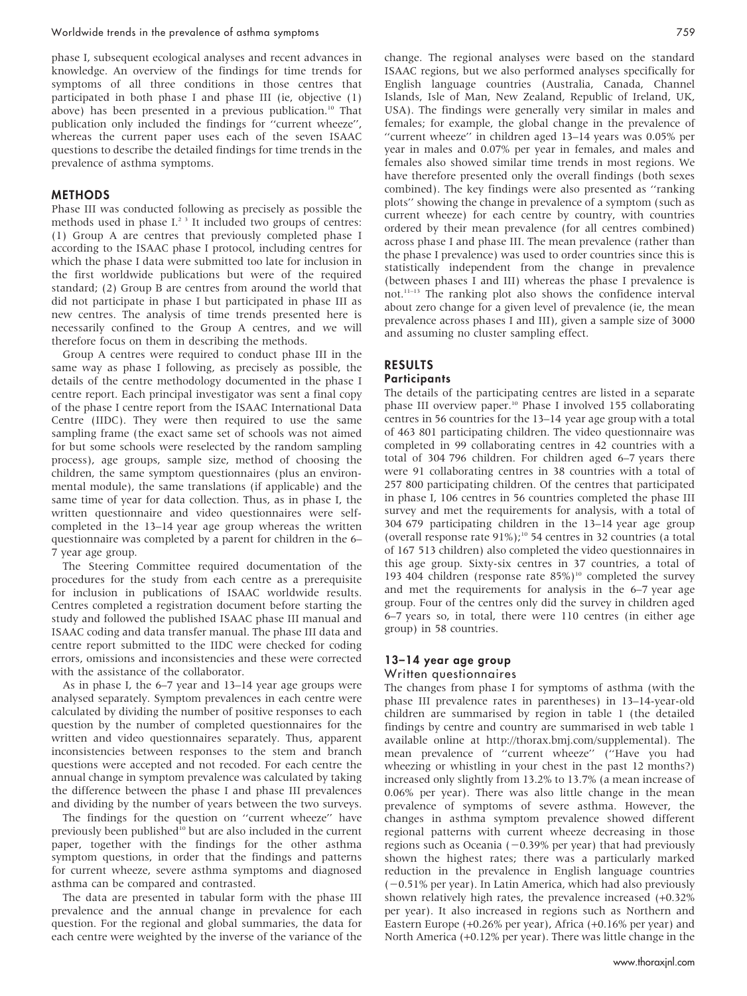phase I, subsequent ecological analyses and recent advances in knowledge. An overview of the findings for time trends for symptoms of all three conditions in those centres that participated in both phase I and phase III (ie, objective (1) above) has been presented in a previous publication.<sup>10</sup> That publication only included the findings for ''current wheeze'', whereas the current paper uses each of the seven ISAAC questions to describe the detailed findings for time trends in the prevalence of asthma symptoms.

# METHODS

Phase III was conducted following as precisely as possible the methods used in phase  $I<sup>2</sup>$  is included two groups of centres: (1) Group A are centres that previously completed phase I according to the ISAAC phase I protocol, including centres for which the phase I data were submitted too late for inclusion in the first worldwide publications but were of the required standard; (2) Group B are centres from around the world that did not participate in phase I but participated in phase III as new centres. The analysis of time trends presented here is necessarily confined to the Group A centres, and we will therefore focus on them in describing the methods.

Group A centres were required to conduct phase III in the same way as phase I following, as precisely as possible, the details of the centre methodology documented in the phase I centre report. Each principal investigator was sent a final copy of the phase I centre report from the ISAAC International Data Centre (IIDC). They were then required to use the same sampling frame (the exact same set of schools was not aimed for but some schools were reselected by the random sampling process), age groups, sample size, method of choosing the children, the same symptom questionnaires (plus an environmental module), the same translations (if applicable) and the same time of year for data collection. Thus, as in phase I, the written questionnaire and video questionnaires were selfcompleted in the 13–14 year age group whereas the written questionnaire was completed by a parent for children in the 6– 7 year age group.

The Steering Committee required documentation of the procedures for the study from each centre as a prerequisite for inclusion in publications of ISAAC worldwide results. Centres completed a registration document before starting the study and followed the published ISAAC phase III manual and ISAAC coding and data transfer manual. The phase III data and centre report submitted to the IIDC were checked for coding errors, omissions and inconsistencies and these were corrected with the assistance of the collaborator.

As in phase I, the 6–7 year and 13–14 year age groups were analysed separately. Symptom prevalences in each centre were calculated by dividing the number of positive responses to each question by the number of completed questionnaires for the written and video questionnaires separately. Thus, apparent inconsistencies between responses to the stem and branch questions were accepted and not recoded. For each centre the annual change in symptom prevalence was calculated by taking the difference between the phase I and phase III prevalences and dividing by the number of years between the two surveys.

The findings for the question on ''current wheeze'' have previously been published<sup>10</sup> but are also included in the current paper, together with the findings for the other asthma symptom questions, in order that the findings and patterns for current wheeze, severe asthma symptoms and diagnosed asthma can be compared and contrasted.

The data are presented in tabular form with the phase III prevalence and the annual change in prevalence for each question. For the regional and global summaries, the data for each centre were weighted by the inverse of the variance of the change. The regional analyses were based on the standard ISAAC regions, but we also performed analyses specifically for English language countries (Australia, Canada, Channel Islands, Isle of Man, New Zealand, Republic of Ireland, UK, USA). The findings were generally very similar in males and females; for example, the global change in the prevalence of ''current wheeze'' in children aged 13–14 years was 0.05% per year in males and 0.07% per year in females, and males and females also showed similar time trends in most regions. We have therefore presented only the overall findings (both sexes combined). The key findings were also presented as ''ranking plots'' showing the change in prevalence of a symptom (such as current wheeze) for each centre by country, with countries ordered by their mean prevalence (for all centres combined) across phase I and phase III. The mean prevalence (rather than the phase I prevalence) was used to order countries since this is statistically independent from the change in prevalence (between phases I and III) whereas the phase I prevalence is not.11–13 The ranking plot also shows the confidence interval about zero change for a given level of prevalence (ie, the mean prevalence across phases I and III), given a sample size of 3000 and assuming no cluster sampling effect.

# RESULTS

### **Participants**

The details of the participating centres are listed in a separate phase III overview paper.<sup>10</sup> Phase I involved 155 collaborating centres in 56 countries for the 13–14 year age group with a total of 463 801 participating children. The video questionnaire was completed in 99 collaborating centres in 42 countries with a total of 304 796 children. For children aged 6–7 years there were 91 collaborating centres in 38 countries with a total of 257 800 participating children. Of the centres that participated in phase I, 106 centres in 56 countries completed the phase III survey and met the requirements for analysis, with a total of 304 679 participating children in the 13–14 year age group (overall response rate  $91\%$ );<sup>10</sup> 54 centres in 32 countries (a total of 167 513 children) also completed the video questionnaires in this age group. Sixty-six centres in 37 countries, a total of 193 404 children (response rate  $85\%$ )<sup>10</sup> completed the survey and met the requirements for analysis in the 6–7 year age group. Four of the centres only did the survey in children aged 6–7 years so, in total, there were 110 centres (in either age group) in 58 countries.

#### 13–14 year age group Written questionnaires

The changes from phase I for symptoms of asthma (with the phase III prevalence rates in parentheses) in 13–14-year-old children are summarised by region in table 1 (the detailed findings by centre and country are summarised in web table 1 available online at http://thorax.bmj.com/supplemental). The mean prevalence of ''current wheeze'' (''Have you had wheezing or whistling in your chest in the past 12 months?) increased only slightly from 13.2% to 13.7% (a mean increase of 0.06% per year). There was also little change in the mean prevalence of symptoms of severe asthma. However, the changes in asthma symptom prevalence showed different regional patterns with current wheeze decreasing in those regions such as Oceania  $(-0.39\%$  per year) that had previously shown the highest rates; there was a particularly marked reduction in the prevalence in English language countries  $(-0.51\%$  per year). In Latin America, which had also previously shown relatively high rates, the prevalence increased (+0.32% per year). It also increased in regions such as Northern and Eastern Europe (+0.26% per year), Africa (+0.16% per year) and North America (+0.12% per year). There was little change in the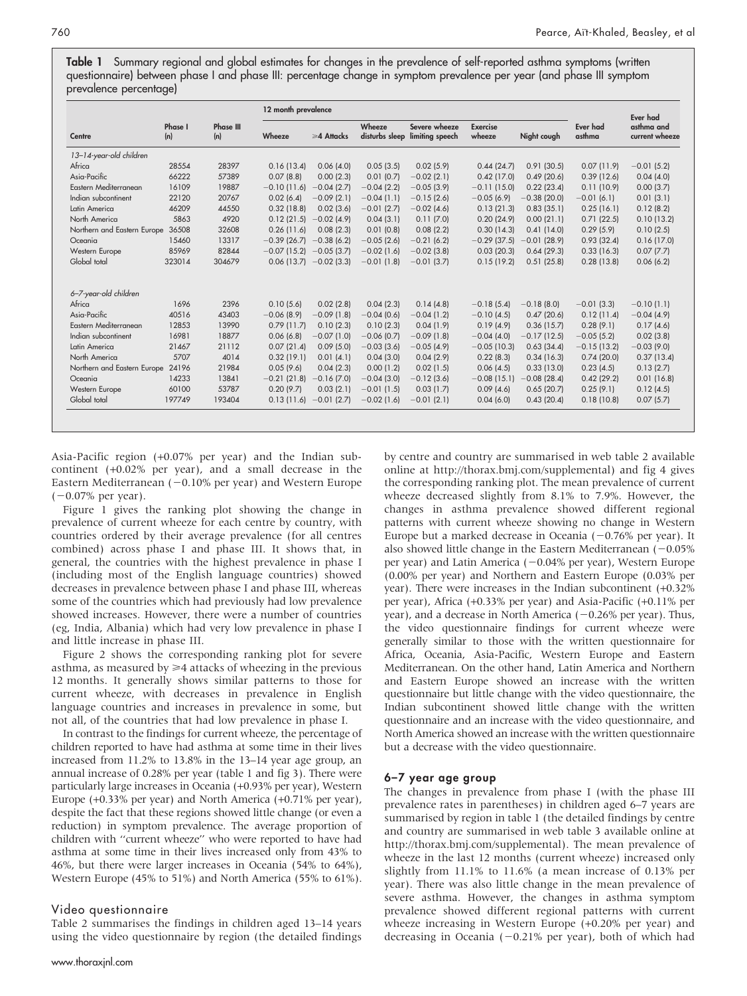Table 1 Summary regional and global estimates for changes in the prevalence of self-reported asthma symptoms (written questionnaire) between phase I and phase III: percentage change in symptom prevalence per year (and phase III symptom prevalence percentage)

|                             |                |                         | 12 month prevalence |                             |                          |                                  |                    |                |                    | Ever had                     |
|-----------------------------|----------------|-------------------------|---------------------|-----------------------------|--------------------------|----------------------------------|--------------------|----------------|--------------------|------------------------------|
| Centre                      | Phase I<br>(n) | <b>Phase III</b><br>(n) | Wheeze              | $\geq 4$ Attacks            | Wheeze<br>disturbs sleep | Severe wheeze<br>limiting speech | Exercise<br>wheeze | Night cough    | Ever had<br>asthma | asthma and<br>current wheeze |
| 13-14-year-old children     |                |                         |                     |                             |                          |                                  |                    |                |                    |                              |
| Africa                      | 28554          | 28397                   | 0.16(13.4)          | 0.06(4.0)                   | 0.05(3.5)                | 0.02(5.9)                        | 0.44(24.7)         | 0.91(30.5)     | 0.07(11.9)         | $-0.01(5.2)$                 |
| Asia-Pacific                | 66222          | 57389                   | 0.07(8.8)           | 0.00(2.3)                   | 0.01(0.7)                | $-0.02(2.1)$                     | $0.42$ (17.0)      | 0.49(20.6)     | 0.39(12.6)         | 0.04(4.0)                    |
| Eastern Mediterranean       | 16109          | 19887                   | $-0.10(11.6)$       | $-0.04(2.7)$                | $-0.04(2.2)$             | $-0.05(3.9)$                     | $-0.11(15.0)$      | 0.22(23.4)     | 0.11(10.9)         | 0.00(3.7)                    |
| Indian subcontinent         | 22120          | 20767                   | 0.02(6.4)           | $-0.09(2.1)$                | $-0.04(1.1)$             | $-0.15(2.6)$                     | $-0.05(6.9)$       | $-0.38(20.0)$  | $-0.01(6.1)$       | 0.01(3.1)                    |
| Latin America               | 46209          | 44550                   | 0.32(18.8)          | 0.02(3.6)                   | $-0.01$ (2.7)            | $-0.02$ (4.6)                    | 0.13(21.3)         | 0.83(35.1)     | 0.25(16.1)         | 0.12(8.2)                    |
| North America               | 5863           | 4920                    | 0.12(21.5)          | $-0.02(4.9)$                | 0.04(3.1)                | 0.11(7.0)                        | 0.20(24.9)         | 0.00(21.1)     | 0.71(22.5)         | 0.10(13.2)                   |
| Northern and Eastern Europe | 36508          | 32608                   | 0.26(11.6)          | 0.08(2.3)                   | 0.01(0.8)                | 0.08(2.2)                        | 0.30(14.3)         | 0.41(14.0)     | 0.29(5.9)          | 0.10(2.5)                    |
| Oceania                     | 15460          | 13317                   | $-0.39$ (26.7)      | $-0.38(6.2)$                | $-0.05(2.6)$             | $-0.21(6.2)$                     | $-0.29$ (37.5)     | $-0.01$ (28.9) | 0.93(32.4)         | 0.16(17.0)                   |
| Western Europe              | 85969          | 82844                   | $-0.07(15.2)$       | $-0.05(3.7)$                | $-0.02$ (1.6)            | $-0.02$ (3.8)                    | 0.03(20.3)         | 0.64(29.3)     | 0.33(16.3)         | 0.07(7.7)                    |
| Global total                | 323014         | 304679                  |                     | $0.06$ (13.7) $-0.02$ (3.3) | $-0.01(1.8)$             | $-0.01(3.7)$                     | 0.15(19.2)         | 0.51(25.8)     | 0.28(13.8)         | 0.06(6.2)                    |
| 6-7-year-old children       |                |                         |                     |                             |                          |                                  |                    |                |                    |                              |
| Africa                      | 1696           | 2396                    | 0.10(5.6)           | 0.02(2.8)                   | 0.04(2.3)                | 0.14(4.8)                        | $-0.18(5.4)$       | $-0.18(8.0)$   | $-0.01(3.3)$       | $-0.10(1.1)$                 |
| Asia-Pacific                | 40516          | 43403                   | $-0.06(8.9)$        | $-0.09(1.8)$                | $-0.04(0.6)$             | $-0.04(1.2)$                     | $-0.10(4.5)$       | 0.47(20.6)     | 0.12(11.4)         | $-0.04(4.9)$                 |
| Eastern Mediterranean       | 12853          | 13990                   | 0.79(11.7)          | 0.10(2.3)                   | 0.10(2.3)                | 0.04(1.9)                        | 0.19(4.9)          | 0.36(15.7)     | 0.28(9.1)          | 0.17(4.6)                    |
| Indian subcontinent         | 16981          | 18877                   | 0.06(6.8)           | $-0.07(1.0)$                | $-0.06$ (0.7)            | $-0.09(1.8)$                     | $-0.04(4.0)$       | $-0.17(12.5)$  | $-0.05(5.2)$       | 0.02(3.8)                    |
| Latin America               | 21467          | 21112                   | 0.07(21.4)          | 0.09(5.0)                   | $-0.03(3.6)$             | $-0.05(4.9)$                     | $-0.05$ (10.3)     | 0.63(34.4)     | $-0.15(13.2)$      | $-0.03(9.0)$                 |
| North America               | 5707           | 4014                    | 0.32(19.1)          | 0.01(4.1)                   | 0.04(3.0)                | 0.04(2.9)                        | 0.22(8.3)          | 0.34(16.3)     | 0.74(20.0)         | 0.37(13.4)                   |
| Northern and Eastern Europe | 24196          | 21984                   | 0.05(9.6)           | 0.04(2.3)                   | 0.00(1.2)                | 0.02(1.5)                        | 0.06(4.5)          | 0.33(13.0)     | 0.23(4.5)          | 0.13(2.7)                    |
| Oceania                     | 14233          | 13841                   | $-0.21(21.8)$       | $-0.16(7.0)$                | $-0.04$ (3.0)            | $-0.12(3.6)$                     | $-0.08(15.1)$      | $-0.08$ (28.4) | 0.42(29.2)         | 0.01(16.8)                   |
| Western Europe              | 60100          | 53787                   | 0.20(9.7)           | 0.03(2.1)                   | $-0.01(1.5)$             | 0.03(1.7)                        | 0.09(4.6)          | 0.65(20.7)     | 0.25(9.1)          | 0.12(4.5)                    |
| Global total                | 197749         | 193404                  |                     | $0.13(11.6) -0.01(2.7)$     | $-0.02$ (1.6)            | $-0.01(2.1)$                     | 0.04(6.0)          | 0.43(20.4)     | 0.18(10.8)         | 0.07(5.7)                    |

Asia-Pacific region (+0.07% per year) and the Indian subcontinent (+0.02% per year), and a small decrease in the Eastern Mediterranean  $(-0.10\%$  per year) and Western Europe  $(-0.07%$  per year).

Figure 1 gives the ranking plot showing the change in prevalence of current wheeze for each centre by country, with countries ordered by their average prevalence (for all centres combined) across phase I and phase III. It shows that, in general, the countries with the highest prevalence in phase I (including most of the English language countries) showed decreases in prevalence between phase I and phase III, whereas some of the countries which had previously had low prevalence showed increases. However, there were a number of countries (eg, India, Albania) which had very low prevalence in phase I and little increase in phase III.

Figure 2 shows the corresponding ranking plot for severe asthma, as measured by  $\geq 4$  attacks of wheezing in the previous 12 months. It generally shows similar patterns to those for current wheeze, with decreases in prevalence in English language countries and increases in prevalence in some, but not all, of the countries that had low prevalence in phase I.

In contrast to the findings for current wheeze, the percentage of children reported to have had asthma at some time in their lives increased from 11.2% to 13.8% in the 13–14 year age group, an annual increase of 0.28% per year (table 1 and fig 3). There were particularly large increases in Oceania (+0.93% per year), Western Europe (+0.33% per year) and North America (+0.71% per year), despite the fact that these regions showed little change (or even a reduction) in symptom prevalence. The average proportion of children with ''current wheeze'' who were reported to have had asthma at some time in their lives increased only from 43% to 46%, but there were larger increases in Oceania (54% to 64%), Western Europe (45% to 51%) and North America (55% to 61%).

# Video questionnaire

Table 2 summarises the findings in children aged 13–14 years using the video questionnaire by region (the detailed findings by centre and country are summarised in web table 2 available online at http://thorax.bmj.com/supplemental) and fig 4 gives the corresponding ranking plot. The mean prevalence of current wheeze decreased slightly from 8.1% to 7.9%. However, the changes in asthma prevalence showed different regional patterns with current wheeze showing no change in Western Europe but a marked decrease in Oceania  $(-0.76\%$  per year). It also showed little change in the Eastern Mediterranean  $(-0.05\%)$ per year) and Latin America ( $-0.04\%$  per year), Western Europe (0.00% per year) and Northern and Eastern Europe (0.03% per year). There were increases in the Indian subcontinent (+0.32% per year), Africa (+0.33% per year) and Asia-Pacific (+0.11% per year), and a decrease in North America  $(-0.26\%$  per year). Thus, the video questionnaire findings for current wheeze were generally similar to those with the written questionnaire for Africa, Oceania, Asia-Pacific, Western Europe and Eastern Mediterranean. On the other hand, Latin America and Northern and Eastern Europe showed an increase with the written questionnaire but little change with the video questionnaire, the Indian subcontinent showed little change with the written questionnaire and an increase with the video questionnaire, and North America showed an increase with the written questionnaire but a decrease with the video questionnaire.

### 6–7 year age group

The changes in prevalence from phase I (with the phase III prevalence rates in parentheses) in children aged 6–7 years are summarised by region in table 1 (the detailed findings by centre and country are summarised in web table 3 available online at http://thorax.bmj.com/supplemental). The mean prevalence of wheeze in the last 12 months (current wheeze) increased only slightly from 11.1% to 11.6% (a mean increase of 0.13% per year). There was also little change in the mean prevalence of severe asthma. However, the changes in asthma symptom prevalence showed different regional patterns with current wheeze increasing in Western Europe (+0.20% per year) and decreasing in Oceania  $(-0.21\%$  per year), both of which had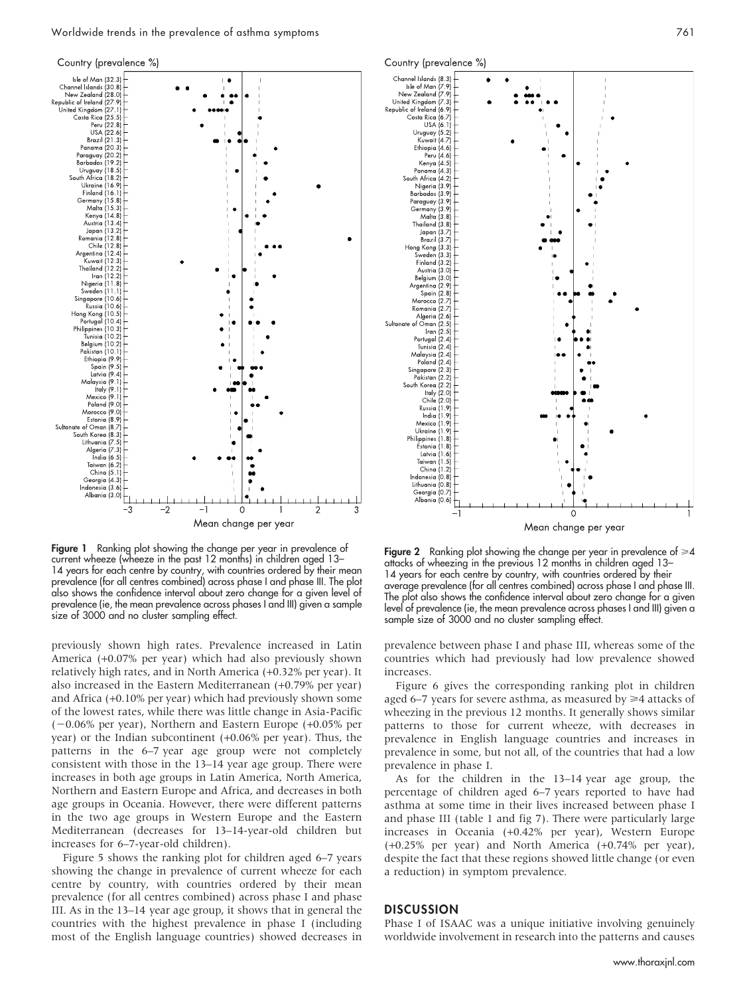

Figure 1 Ranking plot showing the change per year in prevalence of current wheeze (wheeze in the past 12 months) in children aged 13– 14 years for each centre by country, with countries ordered by their mean prevalence (for all centres combined) across phase I and phase III. The plot also shows the confidence interval about zero change for a given level of prevalence (ie, the mean prevalence across phases I and III) given a sample size of 3000 and no cluster sampling effect.

previously shown high rates. Prevalence increased in Latin America (+0.07% per year) which had also previously shown relatively high rates, and in North America (+0.32% per year). It also increased in the Eastern Mediterranean (+0.79% per year) and Africa (+0.10% per year) which had previously shown some of the lowest rates, while there was little change in Asia-Pacific  $(-0.06\%$  per year), Northern and Eastern Europe (+0.05% per year) or the Indian subcontinent (+0.06% per year). Thus, the patterns in the 6–7 year age group were not completely consistent with those in the 13–14 year age group. There were increases in both age groups in Latin America, North America, Northern and Eastern Europe and Africa, and decreases in both age groups in Oceania. However, there were different patterns in the two age groups in Western Europe and the Eastern Mediterranean (decreases for 13–14-year-old children but increases for 6–7-year-old children).

Figure 5 shows the ranking plot for children aged 6–7 years showing the change in prevalence of current wheeze for each centre by country, with countries ordered by their mean prevalence (for all centres combined) across phase I and phase III. As in the 13–14 year age group, it shows that in general the countries with the highest prevalence in phase I (including most of the English language countries) showed decreases in



Mean change per year

**Figure 2** Ranking plot showing the change per year in prevalence of  $\geq 4$ attacks of wheezing in the previous 12 months in children aged 13– 14 years for each centre by country, with countries ordered by their average prevalence (for all centres combined) across phase I and phase III. The plot also shows the confidence interval about zero change for a given level of prevalence (ie, the mean prevalence across phases I and III) given a sample size of 3000 and no cluster sampling effect.

prevalence between phase I and phase III, whereas some of the countries which had previously had low prevalence showed increases.

Figure 6 gives the corresponding ranking plot in children aged 6–7 years for severe asthma, as measured by  $\geq 4$  attacks of wheezing in the previous 12 months. It generally shows similar patterns to those for current wheeze, with decreases in prevalence in English language countries and increases in prevalence in some, but not all, of the countries that had a low prevalence in phase I.

As for the children in the 13–14 year age group, the percentage of children aged 6–7 years reported to have had asthma at some time in their lives increased between phase I and phase III (table 1 and fig 7). There were particularly large increases in Oceania (+0.42% per year), Western Europe (+0.25% per year) and North America (+0.74% per year), despite the fact that these regions showed little change (or even a reduction) in symptom prevalence.

# **DISCUSSION**

Phase I of ISAAC was a unique initiative involving genuinely worldwide involvement in research into the patterns and causes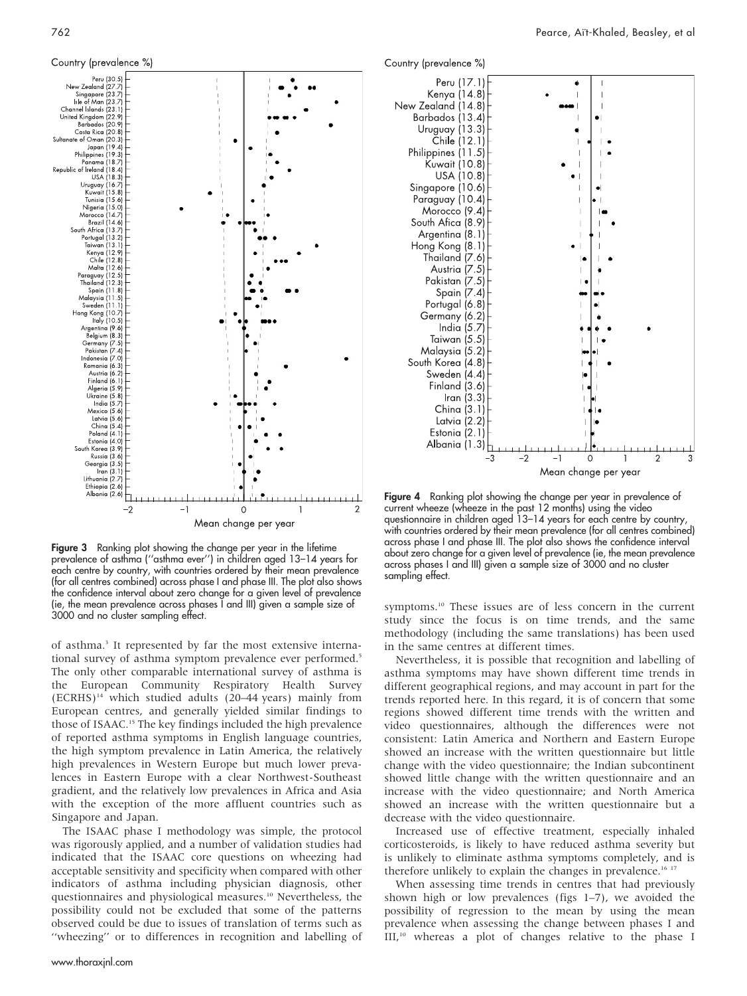

Figure 3 Ranking plot showing the change per year in the lifetime prevalence of asthma (''asthma ever'') in children aged 13–14 years for each centre by country, with countries ordered by their mean prevalence (for all centres combined) across phase I and phase III. The plot also shows the confidence interval about zero change for a given level of prevalence (ie, the mean prevalence across phases I and III) given a sample size of 3000 and no cluster sampling effect.

of asthma.<sup>3</sup> It represented by far the most extensive international survey of asthma symptom prevalence ever performed.<sup>5</sup> The only other comparable international survey of asthma is the European Community Respiratory Health Survey  $(ECRHS)^{14}$  which studied adults (20–44 years) mainly from European centres, and generally yielded similar findings to those of ISAAC.15 The key findings included the high prevalence of reported asthma symptoms in English language countries, the high symptom prevalence in Latin America, the relatively high prevalences in Western Europe but much lower prevalences in Eastern Europe with a clear Northwest-Southeast gradient, and the relatively low prevalences in Africa and Asia with the exception of the more affluent countries such as Singapore and Japan.

The ISAAC phase I methodology was simple, the protocol was rigorously applied, and a number of validation studies had indicated that the ISAAC core questions on wheezing had acceptable sensitivity and specificity when compared with other indicators of asthma including physician diagnosis, other questionnaires and physiological measures.<sup>10</sup> Nevertheless, the possibility could not be excluded that some of the patterns observed could be due to issues of translation of terms such as ''wheezing'' or to differences in recognition and labelling of



Figure 4 Ranking plot showing the change per year in prevalence of current wheeze (wheeze in the past 12 months) using the video questionnaire in children aged 13–14 years for each centre by country, with countries ordered by their mean prevalence (for all centres combined) across phase I and phase III. The plot also shows the confidence interval about zero change for a given level of prevalence (ie, the mean prevalence across phases I and III) given a sample size of 3000 and no cluster sampling effect.

symptoms.<sup>10</sup> These issues are of less concern in the current study since the focus is on time trends, and the same methodology (including the same translations) has been used in the same centres at different times.

Nevertheless, it is possible that recognition and labelling of asthma symptoms may have shown different time trends in different geographical regions, and may account in part for the trends reported here. In this regard, it is of concern that some regions showed different time trends with the written and video questionnaires, although the differences were not consistent: Latin America and Northern and Eastern Europe showed an increase with the written questionnaire but little change with the video questionnaire; the Indian subcontinent showed little change with the written questionnaire and an increase with the video questionnaire; and North America showed an increase with the written questionnaire but a decrease with the video questionnaire.

Increased use of effective treatment, especially inhaled corticosteroids, is likely to have reduced asthma severity but is unlikely to eliminate asthma symptoms completely, and is therefore unlikely to explain the changes in prevalence.<sup>16 17</sup>

When assessing time trends in centres that had previously shown high or low prevalences (figs 1–7), we avoided the possibility of regression to the mean by using the mean prevalence when assessing the change between phases I and III,<sup>10</sup> whereas a plot of changes relative to the phase I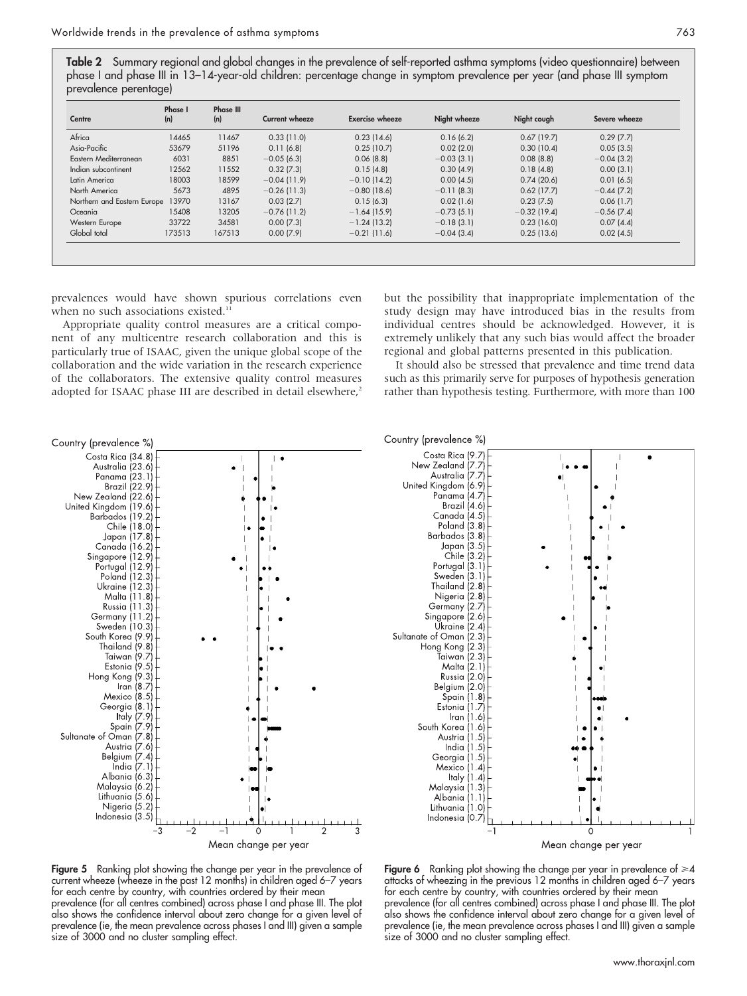Table 2 Summary regional and global changes in the prevalence of self-reported asthma symptoms (video questionnaire) between phase I and phase III in 13–14-year-old children: percentage change in symptom prevalence per year (and phase III symptom prevalence perentage)

| Centre                      | Phase I<br>(n) | Phase III<br>(n) | Current wheeze | Exercise wheeze | Night wheeze | Night cough   | Severe wheeze |
|-----------------------------|----------------|------------------|----------------|-----------------|--------------|---------------|---------------|
| Africa                      | 14465          | 11467            | 0.33(11.0)     | 0.23(14.6)      | 0.16(6.2)    | $0.67$ (19.7) | 0.29(7.7)     |
| Asia-Pacific                | 53679          | 51196            | 0.11(6.8)      | 0.25(10.7)      | 0.02(2.0)    | 0.30(10.4)    | 0.05(3.5)     |
| Eastern Mediterranean       | 6031           | 8851             | $-0.05(6.3)$   | 0.06(8.8)       | $-0.03(3.1)$ | 0.08(8.8)     | $-0.04(3.2)$  |
| Indian subcontinent         | 12562          | 11552            | 0.32(7.3)      | 0.15(4.8)       | 0.30(4.9)    | 0.18(4.8)     | 0.00(3.1)     |
| Latin America               | 18003          | 18599            | $-0.04(11.9)$  | $-0.10(14.2)$   | 0.00(4.5)    | 0.74(20.6)    | 0.01(6.5)     |
| North America               | 5673           | 4895             | $-0.26$ (11.3) | $-0.80$ (18.6)  | $-0.11(8.3)$ | $0.62$ (17.7) | $-0.44(7.2)$  |
| Northern and Eastern Europe | 13970          | 13167            | 0.03(2.7)      | 0.15(6.3)       | 0.02(1.6)    | 0.23(7.5)     | 0.06(1.7)     |
| Oceania                     | 15408          | 13205            | $-0.76(11.2)$  | $-1.64(15.9)$   | $-0.73(5.1)$ | $-0.32(19.4)$ | $-0.56(7.4)$  |
| Western Europe              | 33722          | 34581            | 0.00(7.3)      | $-1.24(13.2)$   | $-0.18(3.1)$ | 0.23(16.0)    | 0.07(4.4)     |
| Global total                | 173513         | 167513           | 0.00(7.9)      | $-0.21(11.6)$   | $-0.04(3.4)$ | 0.25(13.6)    | 0.02(4.5)     |

prevalences would have shown spurious correlations even when no such associations existed.<sup>11</sup>

Appropriate quality control measures are a critical component of any multicentre research collaboration and this is particularly true of ISAAC, given the unique global scope of the collaboration and the wide variation in the research experience of the collaborators. The extensive quality control measures adopted for ISAAC phase III are described in detail elsewhere,<sup>2</sup>

but the possibility that inappropriate implementation of the study design may have introduced bias in the results from individual centres should be acknowledged. However, it is extremely unlikely that any such bias would affect the broader regional and global patterns presented in this publication.

It should also be stressed that prevalence and time trend data such as this primarily serve for purposes of hypothesis generation rather than hypothesis testing. Furthermore, with more than 100



Mean change per year

Figure 5 Ranking plot showing the change per year in the prevalence of current wheeze (wheeze in the past 12 months) in children aged 6–7 years for each centre by country, with countries ordered by their mean prevalence (for all centres combined) across phase I and phase III. The plot also shows the confidence interval about zero change for a given level of prevalence (ie, the mean prevalence across phases I and III) given a sample size of 3000 and no cluster sampling effect.

**Figure 6** Ranking plot showing the change per year in prevalence of  $\geq 4$ attacks of wheezing in the previous 12 months in children aged 6–7 years for each centre by country, with countries ordered by their mean prevalence (for all centres combined) across phase I and phase III. The plot also shows the confidence interval about zero change for a given level of prevalence (ie, the mean prevalence across phases I and III) given a sample size of 3000 and no cluster sampling effect.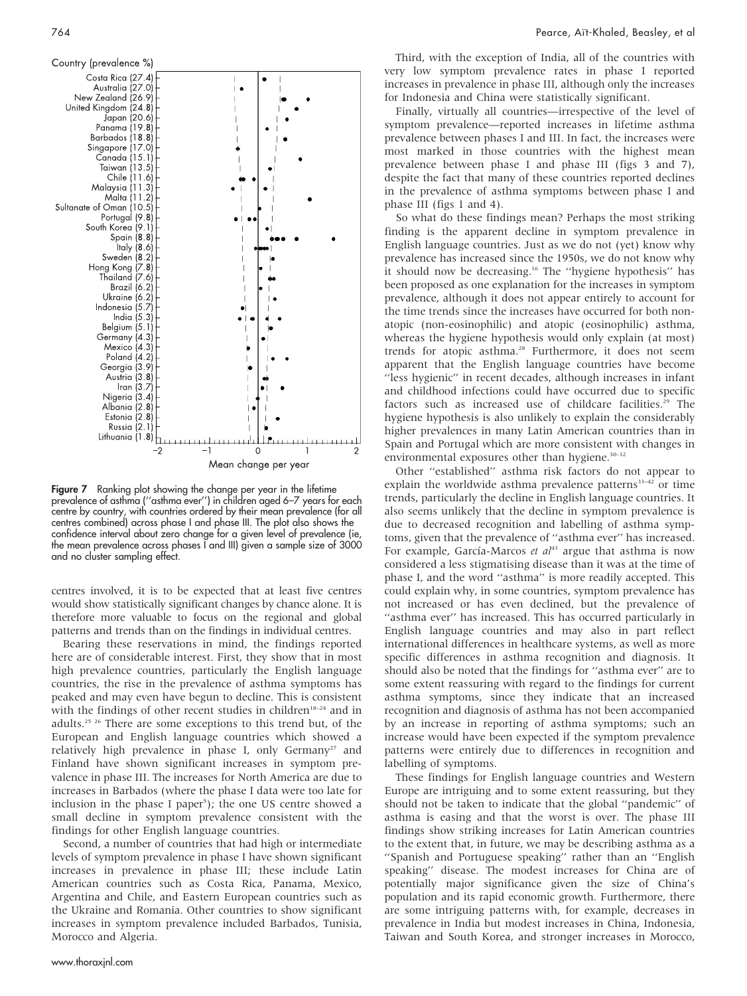

Figure 7 Ranking plot showing the change per year in the lifetime prevalence of asthma (''asthma ever'') in children aged 6–7 years for each centre by country, with countries ordered by their mean prevalence (for all centres combined) across phase I and phase III. The plot also shows the confidence interval about zero change for a given level of prevalence (ie, the mean prevalence across phases I and III) given a sample size of 3000 and no cluster sampling effect.

centres involved, it is to be expected that at least five centres would show statistically significant changes by chance alone. It is therefore more valuable to focus on the regional and global patterns and trends than on the findings in individual centres.

Bearing these reservations in mind, the findings reported here are of considerable interest. First, they show that in most high prevalence countries, particularly the English language countries, the rise in the prevalence of asthma symptoms has peaked and may even have begun to decline. This is consistent with the findings of other recent studies in children<sup>18–24</sup> and in adults.25 26 There are some exceptions to this trend but, of the European and English language countries which showed a relatively high prevalence in phase I, only Germany<sup>27</sup> and Finland have shown significant increases in symptom prevalence in phase III. The increases for North America are due to increases in Barbados (where the phase I data were too late for inclusion in the phase I paper<sup>5</sup>); the one US centre showed a small decline in symptom prevalence consistent with the findings for other English language countries.

Second, a number of countries that had high or intermediate levels of symptom prevalence in phase I have shown significant increases in prevalence in phase III; these include Latin American countries such as Costa Rica, Panama, Mexico, Argentina and Chile, and Eastern European countries such as the Ukraine and Romania. Other countries to show significant increases in symptom prevalence included Barbados, Tunisia, Morocco and Algeria.

Third, with the exception of India, all of the countries with very low symptom prevalence rates in phase I reported increases in prevalence in phase III, although only the increases for Indonesia and China were statistically significant.

Finally, virtually all countries—irrespective of the level of symptom prevalence—reported increases in lifetime asthma prevalence between phases I and III. In fact, the increases were most marked in those countries with the highest mean prevalence between phase I and phase III (figs 3 and 7), despite the fact that many of these countries reported declines in the prevalence of asthma symptoms between phase I and phase III (figs 1 and 4).

So what do these findings mean? Perhaps the most striking finding is the apparent decline in symptom prevalence in English language countries. Just as we do not (yet) know why prevalence has increased since the 1950s, we do not know why it should now be decreasing.<sup>16</sup> The "hygiene hypothesis" has been proposed as one explanation for the increases in symptom prevalence, although it does not appear entirely to account for the time trends since the increases have occurred for both nonatopic (non-eosinophilic) and atopic (eosinophilic) asthma, whereas the hygiene hypothesis would only explain (at most) trends for atopic asthma.<sup>28</sup> Furthermore, it does not seem apparent that the English language countries have become ''less hygienic'' in recent decades, although increases in infant and childhood infections could have occurred due to specific factors such as increased use of childcare facilities.<sup>29</sup> The hygiene hypothesis is also unlikely to explain the considerably higher prevalences in many Latin American countries than in Spain and Portugal which are more consistent with changes in environmental exposures other than hygiene.<sup>30-32</sup>

Other ''established'' asthma risk factors do not appear to explain the worldwide asthma prevalence patterns<sup>33-42</sup> or time trends, particularly the decline in English language countries. It also seems unlikely that the decline in symptom prevalence is due to decreased recognition and labelling of asthma symptoms, given that the prevalence of ''asthma ever'' has increased. For example, García-Marcos et  $al<sup>43</sup>$  argue that asthma is now considered a less stigmatising disease than it was at the time of phase I, and the word ''asthma'' is more readily accepted. This could explain why, in some countries, symptom prevalence has not increased or has even declined, but the prevalence of "asthma ever" has increased. This has occurred particularly in English language countries and may also in part reflect international differences in healthcare systems, as well as more specific differences in asthma recognition and diagnosis. It should also be noted that the findings for ''asthma ever'' are to some extent reassuring with regard to the findings for current asthma symptoms, since they indicate that an increased recognition and diagnosis of asthma has not been accompanied by an increase in reporting of asthma symptoms; such an increase would have been expected if the symptom prevalence patterns were entirely due to differences in recognition and labelling of symptoms.

These findings for English language countries and Western Europe are intriguing and to some extent reassuring, but they should not be taken to indicate that the global ''pandemic'' of asthma is easing and that the worst is over. The phase III findings show striking increases for Latin American countries to the extent that, in future, we may be describing asthma as a "Spanish and Portuguese speaking" rather than an "English speaking'' disease. The modest increases for China are of potentially major significance given the size of China's population and its rapid economic growth. Furthermore, there are some intriguing patterns with, for example, decreases in prevalence in India but modest increases in China, Indonesia, Taiwan and South Korea, and stronger increases in Morocco,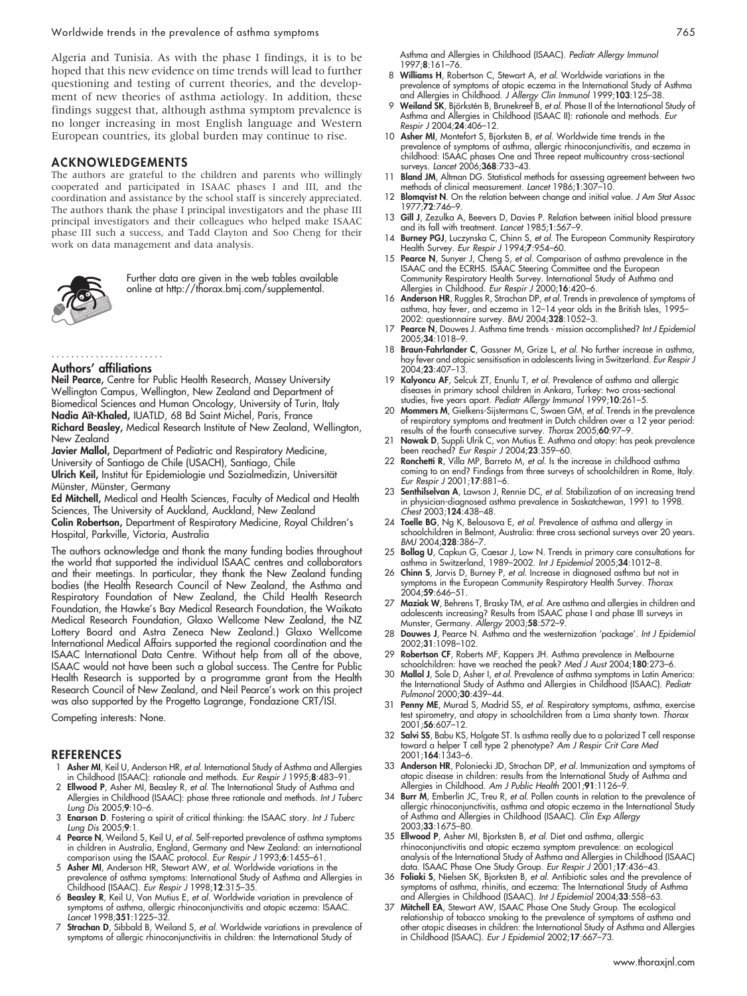#### Worldwide trends in the prevalence of asthma symptoms 765

Algeria and Tunisia. As with the phase I findings, it is to be hoped that this new evidence on time trends will lead to further questioning and testing of current theories, and the development of new theories of asthma aetiology. In addition, these findings suggest that, although asthma symptom prevalence is no longer increasing in most English language and Western European countries, its global burden may continue to rise.

# ACKNOWLEDGEMENTS

The authors are grateful to the children and parents who willingly cooperated and participated in ISAAC phases I and III, and the coordination and assistance by the school staff is sincerely appreciated. The authors thank the phase I principal investigators and the phase III principal investigators and their colleagues who helped make ISAAC phase III such a success, and Tadd Clayton and Soo Cheng for their work on data management and data analysis.



Further data are given in the web tables available online at http://thorax.bmj.com/supplemental.

#### Authors' affiliations .......................

Neil Pearce, Centre for Public Health Research, Massey University Wellington Campus, Wellington, New Zealand and Department of Biomedical Sciences and Human Oncology, University of Turin, Italy Nadia Ait-Khaled, IUATLD, 68 Bd Saint Michel, Paris, France Richard Beasley, Medical Research Institute of New Zealand, Wellington, New Zealand

Javier Mallol, Department of Pediatric and Respiratory Medicine, University of Santiago de Chile (USACH), Santiago, Chile Ulrich Keil, Institut für Epidemiologie und Sozialmedizin, Universität Münster, Münster, Germany

Ed Mitchell, Medical and Health Sciences, Faculty of Medical and Health Sciences, The University of Auckland, Auckland, New Zealand Colin Robertson, Department of Respiratory Medicine, Royal Children's Hospital, Parkville, Victoria, Australia

The authors acknowledge and thank the many funding bodies throughout the world that supported the individual ISAAC centres and collaborators and their meetings. In particular, they thank the New Zealand funding bodies (the Health Research Council of New Zealand, the Asthma and Respiratory Foundation of New Zealand, the Child Health Research Foundation, the Hawke's Bay Medical Research Foundation, the Waikato Medical Research Foundation, Glaxo Wellcome New Zealand, the NZ Lottery Board and Astra Zeneca New Zealand.) Glaxo Wellcome International Medical Affairs supported the regional coordination and the ISAAC International Data Centre. Without help from all of the above, ISAAC would not have been such a global success. The Centre for Public Health Research is supported by a programme grant from the Health Research Council of New Zealand, and Neil Pearce's work on this project was also supported by the Progetto Lagrange, Fondazione CRT/ISI.

Competing interests: None.

#### REFERENCES

- Asher MI, Keil U, Anderson HR, et al. International Study of Asthma and Allergies in Childhood (ISAAC): rationale and methods. Eur Respir J 1995;8:483-91.
- 2 Ellwood P, Asher MI, Beasley R, et al. The International Study of Asthma and Allergies in Childhood (ISAAC): phase three rationale and methods. Int J Tuberc Lung Dis 2005;9:10–6.
- 3 Enarson D. Fostering a spirit of critical thinking: the ISAAC story. Int J Tuberc Lung Dis 2005;9:1.
- 4 Pearce N, Weiland S, Keil U, et al. Self-reported prevalence of asthma symptoms in children in Australia, England, Germany and New Zealand: an international<br>comparison using the ISAAC protocol. *Eur Respir J* 1993;**6**:1455–61.
- 5 Asher MI, Anderson HR, Stewart AW, et al. Worldwide variations in the prevalence of asthma symptoms: International Study of Asthma and Allergies in
- Childhood (ISAAC). *Eur Respir J* 1998;**12**:315–35.<br>6 **Beasley R**, Keil U, Von Mutius E, *et al*. Worldwide variation in prevalence of<br>symptoms of asthma, allergic rhinoconjunctivitis and atopic eczema: ISAAC. Lancet 1998;351:1225–32.
- Strachan D, Sibbald B, Weiland S, et al. Worldwide variations in prevalence of symptoms of allergic rhinoconjunctivitis in children: the International Study of

Asthma and Allergies in Childhood (ISAAC). Pediatr Allergy Immunol 1997;8:161–76.

- 8 Williams H, Robertson C, Stewart A, et al. Worldwide variations in the prevalence of symptoms of atopic eczema in the International Study of Asthma and Allergies in Childhood. J Allergy Clin Immunol 1999;103:125-38
- 9 Weiland SK, Björkstén B, Brunekreef B, et al. Phase II of the International Study of Asthma and Allergies in Childhood (ISAAC II): rationale and methods. Eur Respir J 2004;24:406–12.
- 10 Asher MI, Montefort S, Bjorksten B, et al. Worldwide time trends in the prevalence of symptoms of asthma, allergic rhinoconjunctivitis, and eczema in childhood: ISAAC phases One and Three repeat multicountry cross-sectional surveys. Lancet 2006;368:733–43.
- 11 **Bland JM**, Altman DG. Statistical methods for assessing agreement between two methods of clinical measurement. Lancet 1986;1:307–10.
- 12 Blomqvist N. On the relation between change and initial value. J Am Stat Assoc 1977;72:746–9.
- 13 Gill J, Zezulka A, Beevers D, Davies P. Relation between initial blood pressure and its fall with treatment. Lancet 1985;1:567–9.
- 14 Burney PGJ, Luczynska C, Chinn S, et al. The European Community Respiratory Health Survey. Eur Respir J 1994;7:954–60.
- 15 Pearce N, Sunyer J, Cheng S, et al. Comparison of asthma prevalence in the ISAAC and the ECRHS. ISAAC Steering Committee and the European Community Respiratory Health Survey. International Study of Asthma and Allergies in Childhood. Eur Respir J 2000;16:420–6.
- 16 Anderson HR, Ruggles R, Strachan DP, et al. Trends in prevalence of symptoms of asthma, hay fever, and eczema in 12–14 year olds in the British Isles, 1995– 2002: questionnaire survey. BMJ 2004;328:1052–3.
- 17 Pearce N, Douwes J. Asthma time trends mission accomplished? Int J Epidemiol 2005;34:1018–9.
- 18 Braun-Fahrlander C, Gassner M, Grize L, et al. No further increase in asthma, hay fever and atopic sensitisation in adolescents living in Switzerland. Eur Respir J 2004;23:407–13.
- 19 Kalyoncu AF, Selcuk ZT, Enunlu T, et al. Prevalence of asthma and allergic diseases in primary school children in Ankara, Turkey: two cross-sectional studies, five years apart. Pediatr Allergy Immunol 1999;10:261-5.
- 20 **Mommers M**, Gielkens-Sijstermans C, Swaen GM, et al. Trends in the prevalence of respiratory symptoms and treatment in Dutch children over a 12 year period: results of the fourth consecutive survey. Thorax 2005;60:97–9.
- 21 Nowak D, Suppli Ulrik C, von Mutius E. Asthma and atopy: has peak prevalence been reached? Eur Respir J 2004;23:359–60.
- 22 Ronchetti R, Villa MP, Barreto M, et al. Is the increase in childhood asthma coming to an end? Findings from three surveys of schoolchildren in Rome, Italy. Eur Respir J 2001;17:881–6.
- 23 Senthilselvan A, Lawson J, Rennie DC, et al. Stabilization of an increasing trend in physician-diagnosed asthma prevalence in Saskatchewan, 1991 to 1998. Chest 2003;124:438–48.
- 24 Toelle BG, Ng K, Belousova E, et al. Prevalence of asthma and allergy in schoolchildren in Belmont, Australia: three cross sectional surveys over 20 years. BMJ 2004;328:386–7.
- 25 Bollag U, Capkun G, Caesar J, Low N. Trends in primary care consultations for asthma in Switzerland, 1989–2002. Int J Epidemiol 2005;34:1012–8.
- 26 Chinn S, Jarvis D, Burney P, et al. Increase in diagnosed asthma but not in symptoms in the European Community Respiratory Health Survey. Thorax 2004;59:646–51.
- 27 Maziak W, Behrens T, Brasky TM, et al. Are asthma and allergies in children and adolescents increasing? Results from ISAAC phase I and phase III surveys in<br>Munster, Germany. *Allergy* 2003;**58**:572–9.
- 28 Douwes J, Pearce N. Asthma and the westernization 'package'. Int J Epidemiol 2002;31:1098–102.
- 29 Robertson CF, Roberts MF, Kappers JH. Asthma prevalence in Melbourne schoolchildren: have we reached the peak? Med J Aust 2004;180:273–6.
- 30 Mallol J, Sole D, Asher I, et al. Prevalence of asthma symptoms in Latin America: the International Study of Asthma and Allergies in Childhood (ISAAC). Pediatr Pulmonol 2000;30:439–44.
- 31 Penny ME, Murad S, Madrid SS, et al. Respiratory symptoms, asthma, exercise test spirometry, and atopy in schoolchildren from a Lima shanty town. Thorax 2001;56:607–12.
- 32 Salvi SS, Babu KS, Holgate ST. Is asthma really due to a polarized T cell response toward a helper T cell type 2 phenotype? Am J Respir Crit Care Med 2001;164:1343–6.
- 33 Anderson HR, Poloniecki JD, Strachan DP, et al. Immunization and symptoms of atopic disease in children: results from the International Study of Asthma and Allergies in Childhood. Am J Public Health 2001;91:1126–9.
- 34 Burr M, Emberlin JC, Treu R, et al. Pollen counts in relation to the prevalence of allergic rhinoconjunctivitis, asthma and atopic eczema in the International Study of Asthma and Allergies in Childhood (ISAAC). Clin Exp Allergy 2003;33:1675–80.
- 35 Ellwood P, Asher MI, Bjorksten B, et al. Diet and asthma, allergic rhinoconjunctivitis and atopic eczema symptom prevalence: an ecological analysis of the International Study of Asthma and Allergies in Childhood (ISAAC) data. ISAAC Phase One Study Group. Eur Respir J 2001;17:436-43.
- 36 Foliaki S, Nielsen SK, Bjorksten B, et al. Antibiotic sales and the prevalence of symptoms of asthma, rhinitis, and eczema: The International Study of Asthma and Allergies in Childhood (ISAAC). Int J Epidemiol 2004;33:558–63.
- 37 Mitchell EA, Stewart AW, ISAAC Phase One Study Group. The ecological relationship of tobacco smoking to the prevalence of symptoms of asthma and other atopic diseases in children: the International Study of Asthma and Allergies in Childhood (ISAAC). Eur J Epidemiol 2002;17:667–73.